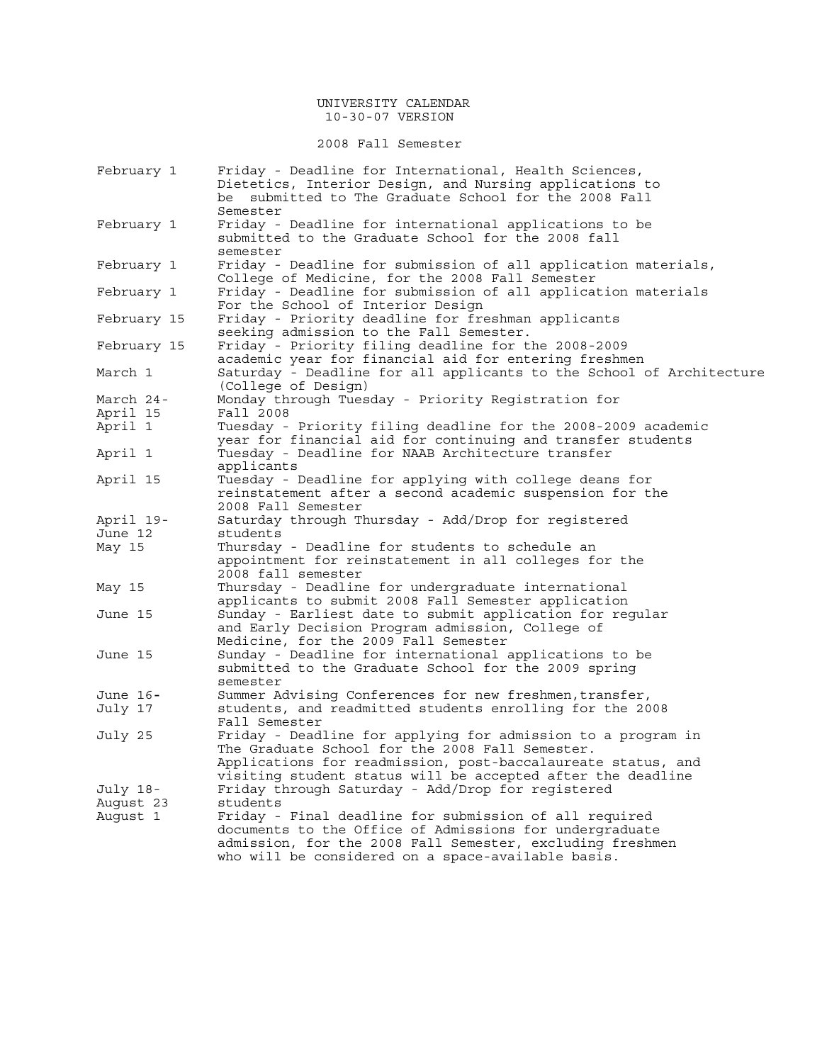### UNIVERSITY CALENDAR 10-30-07 VERSION

## 2008 Fall Semester

| February 1  | Friday - Deadline for International, Health Sciences,<br>Dietetics, Interior Design, and Nursing applications to |
|-------------|------------------------------------------------------------------------------------------------------------------|
|             | be submitted to The Graduate School for the 2008 Fall                                                            |
|             | Semester                                                                                                         |
| February 1  | Friday - Deadline for international applications to be                                                           |
|             | submitted to the Graduate School for the 2008 fall                                                               |
|             | semester                                                                                                         |
| February 1  | Friday - Deadline for submission of all application materials,                                                   |
|             | College of Medicine, for the 2008 Fall Semester                                                                  |
| February 1  | Friday - Deadline for submission of all application materials                                                    |
|             | For the School of Interior Design                                                                                |
| February 15 | Friday - Priority deadline for freshman applicants                                                               |
|             | seeking admission to the Fall Semester.                                                                          |
| February 15 | Friday - Priority filing deadline for the 2008-2009                                                              |
|             | academic year for financial aid for entering freshmen                                                            |
| March 1     | Saturday - Deadline for all applicants to the School of Architecture                                             |
|             | (College of Design)                                                                                              |
| March 24-   | Monday through Tuesday - Priority Registration for                                                               |
| April 15    | Fall 2008                                                                                                        |
| April 1     | Tuesday - Priority filing deadline for the 2008-2009 academic                                                    |
|             | year for financial aid for continuing and transfer students                                                      |
| April 1     | Tuesday - Deadline for NAAB Architecture transfer                                                                |
|             | applicants                                                                                                       |
| April 15    | Tuesday - Deadline for applying with college deans for                                                           |
|             | reinstatement after a second academic suspension for the                                                         |
|             | 2008 Fall Semester                                                                                               |
| April 19-   | Saturday through Thursday - Add/Drop for registered                                                              |
| June 12     | students                                                                                                         |
| May 15      | Thursday - Deadline for students to schedule an                                                                  |
|             | appointment for reinstatement in all colleges for the                                                            |
|             | 2008 fall semester                                                                                               |
| May 15      | Thursday - Deadline for undergraduate international                                                              |
|             | applicants to submit 2008 Fall Semester application                                                              |
| June 15     | Sunday - Earliest date to submit application for regular                                                         |
|             | and Early Decision Program admission, College of                                                                 |
|             | Medicine, for the 2009 Fall Semester                                                                             |
| June 15     | Sunday - Deadline for international applications to be                                                           |
|             | submitted to the Graduate School for the 2009 spring                                                             |
|             | semester                                                                                                         |
| June 16-    | Summer Advising Conferences for new freshmen, transfer,                                                          |
| July 17     | students, and readmitted students enrolling for the 2008                                                         |
|             | Fall Semester                                                                                                    |
| July 25     | Friday - Deadline for applying for admission to a program in                                                     |
|             | The Graduate School for the 2008 Fall Semester.                                                                  |
|             | Applications for readmission, post-baccalaureate status, and                                                     |
|             | visiting student status will be accepted after the deadline                                                      |
| July 18-    | Friday through Saturday - Add/Drop for registered                                                                |
| Auqust 23   | students                                                                                                         |
| Auqust 1    | Friday - Final deadline for submission of all required                                                           |
|             | documents to the Office of Admissions for undergraduate                                                          |
|             | admission, for the 2008 Fall Semester, excluding freshmen                                                        |
|             | who will be considered on a space-available basis.                                                               |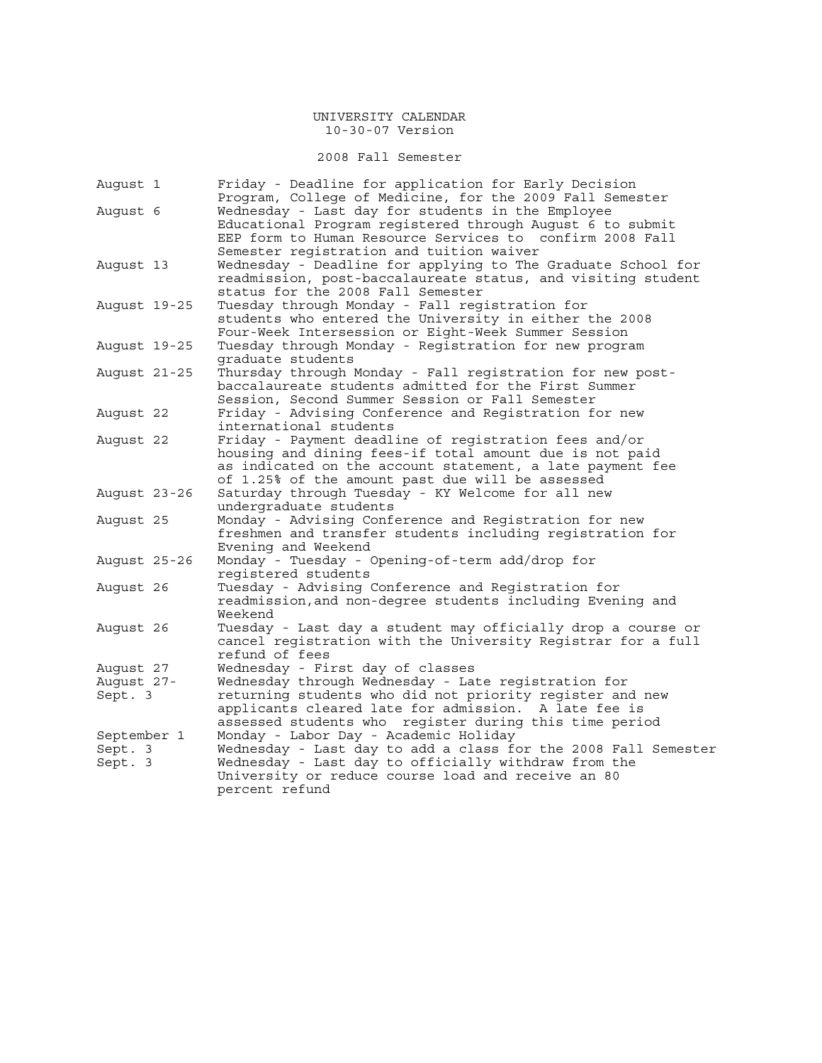2008 Fall Semester

| Auqust 1           | Friday - Deadline for application for Early Decision<br>Program, College of Medicine, for the 2009 Fall Semester       |
|--------------------|------------------------------------------------------------------------------------------------------------------------|
| August 6           | Wednesday - Last day for students in the Employee                                                                      |
|                    | Educational Program registered through August 6 to submit                                                              |
|                    | EEP form to Human Resource Services to confirm 2008 Fall                                                               |
|                    | Semester registration and tuition waiver                                                                               |
| August 13          | Wednesday - Deadline for applying to The Graduate School for                                                           |
|                    | readmission, post-baccalaureate status, and visiting student                                                           |
|                    | status for the 2008 Fall Semester                                                                                      |
| August 19-25       | Tuesday through Monday - Fall registration for                                                                         |
|                    | students who entered the University in either the 2008                                                                 |
| August 19-25       | Four-Week Intersession or Eight-Week Summer Session<br>Tuesday through Monday - Registration for new program           |
|                    | graduate students                                                                                                      |
| August 21-25       | Thursday through Monday - Fall registration for new post-                                                              |
|                    | baccalaureate students admitted for the First Summer                                                                   |
|                    | Session, Second Summer Session or Fall Semester                                                                        |
| August 22          | Friday - Advising Conference and Registration for new                                                                  |
|                    | international students                                                                                                 |
| August 22          | Friday - Payment deadline of registration fees and/or                                                                  |
|                    | housing and dining fees-if total amount due is not paid                                                                |
|                    | as indicated on the account statement, a late payment fee                                                              |
|                    | of 1.25% of the amount past due will be assessed                                                                       |
| August 23-26       | Saturday through Tuesday - KY Welcome for all new                                                                      |
|                    | undergraduate students                                                                                                 |
| August 25          | Monday - Advising Conference and Registration for new                                                                  |
|                    | freshmen and transfer students including registration for<br>Evening and Weekend                                       |
| August 25-26       | Monday - Tuesday - Opening-of-term add/drop for                                                                        |
|                    | registered students                                                                                                    |
| August 26          | Tuesday - Advising Conference and Registration for                                                                     |
|                    | readmission, and non-degree students including Evening and                                                             |
|                    | Weekend                                                                                                                |
| August 26          | Tuesday - Last day a student may officially drop a course or                                                           |
|                    | cancel registration with the University Registrar for a full                                                           |
|                    | refund of fees                                                                                                         |
| August 27          | Wednesday - First day of classes                                                                                       |
| August 27-         | Wednesday through Wednesday - Late registration for                                                                    |
| Sept. 3            | returning students who did not priority register and new                                                               |
|                    | applicants cleared late for admission. A late fee is                                                                   |
|                    | assessed students who register during this time period                                                                 |
| September 1        | Monday - Labor Day - Academic Holiday                                                                                  |
| Sept. 3<br>Sept. 3 | Wednesday - Last day to add a class for the 2008 Fall Semester<br>Wednesday - Last day to officially withdraw from the |
|                    | University or reduce course load and receive an 80                                                                     |
|                    | percent refund                                                                                                         |
|                    |                                                                                                                        |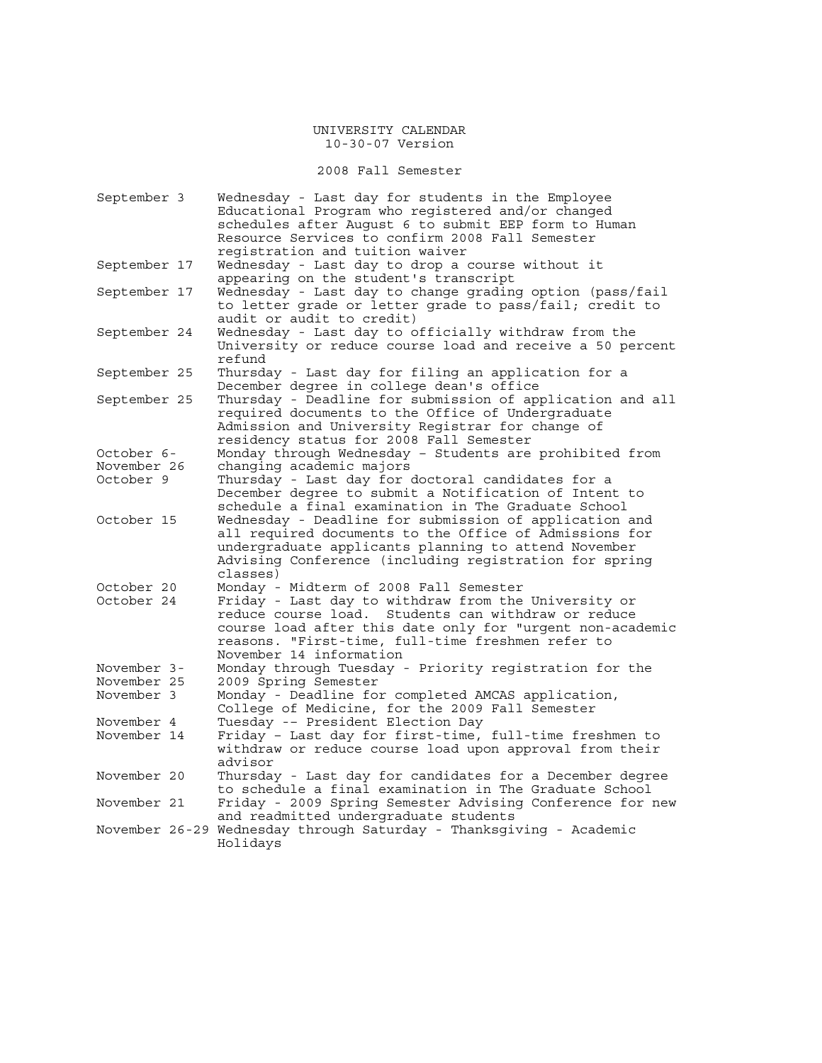2008 Fall Semester

| September 3  | Wednesday - Last day for students in the Employee                   |
|--------------|---------------------------------------------------------------------|
|              | Educational Program who registered and/or changed                   |
|              | schedules after August 6 to submit EEP form to Human                |
|              | Resource Services to confirm 2008 Fall Semester                     |
|              | registration and tuition waiver                                     |
| September 17 | Wednesday - Last day to drop a course without it                    |
|              | appearing on the student's transcript                               |
| September 17 | Wednesday - Last day to change grading option (pass/fail            |
|              | to letter grade or letter grade to pass/fail; credit to             |
|              | audit or audit to credit)                                           |
| September 24 | Wednesday - Last day to officially withdraw from the                |
|              | University or reduce course load and receive a 50 percent           |
|              | refund                                                              |
| September 25 | Thursday - Last day for filing an application for a                 |
|              | December degree in college dean's office                            |
| September 25 | Thursday - Deadline for submission of application and all           |
|              | required documents to the Office of Undergraduate                   |
|              | Admission and University Registrar for change of                    |
|              |                                                                     |
|              | residency status for 2008 Fall Semester                             |
| October 6-   | Monday through Wednesday - Students are prohibited from             |
| November 26  | changing academic majors                                            |
| October 9    | Thursday - Last day for doctoral candidates for a                   |
|              | December degree to submit a Notification of Intent to               |
|              | schedule a final examination in The Graduate School                 |
| October 15   | Wednesday - Deadline for submission of application and              |
|              | all required documents to the Office of Admissions for              |
|              | undergraduate applicants planning to attend November                |
|              | Advising Conference (including registration for spring              |
|              | classes)                                                            |
| October 20   | Monday - Midterm of 2008 Fall Semester                              |
| October 24   | Friday - Last day to withdraw from the University or                |
|              | reduce course load. Students can withdraw or reduce                 |
|              | course load after this date only for "urgent non-academic           |
|              | reasons. "First-time, full-time freshmen refer to                   |
|              | November 14 information                                             |
| November 3-  | Monday through Tuesday - Priority registration for the              |
| November 25  | 2009 Spring Semester                                                |
| November 3   | Monday - Deadline for completed AMCAS application,                  |
|              | College of Medicine, for the 2009 Fall Semester                     |
| November 4   | Tuesday -- President Election Day                                   |
| November 14  | Friday - Last day for first-time, full-time freshmen to             |
|              | withdraw or reduce course load upon approval from their             |
|              | advisor                                                             |
|              |                                                                     |
| November 20  | Thursday - Last day for candidates for a December degree            |
|              | to schedule a final examination in The Graduate School              |
| November 21  | Friday - 2009 Spring Semester Advising Conference for new           |
|              | and readmitted undergraduate students                               |
|              | November 26-29 Wednesday through Saturday - Thanksgiving - Academic |
|              | Holidays                                                            |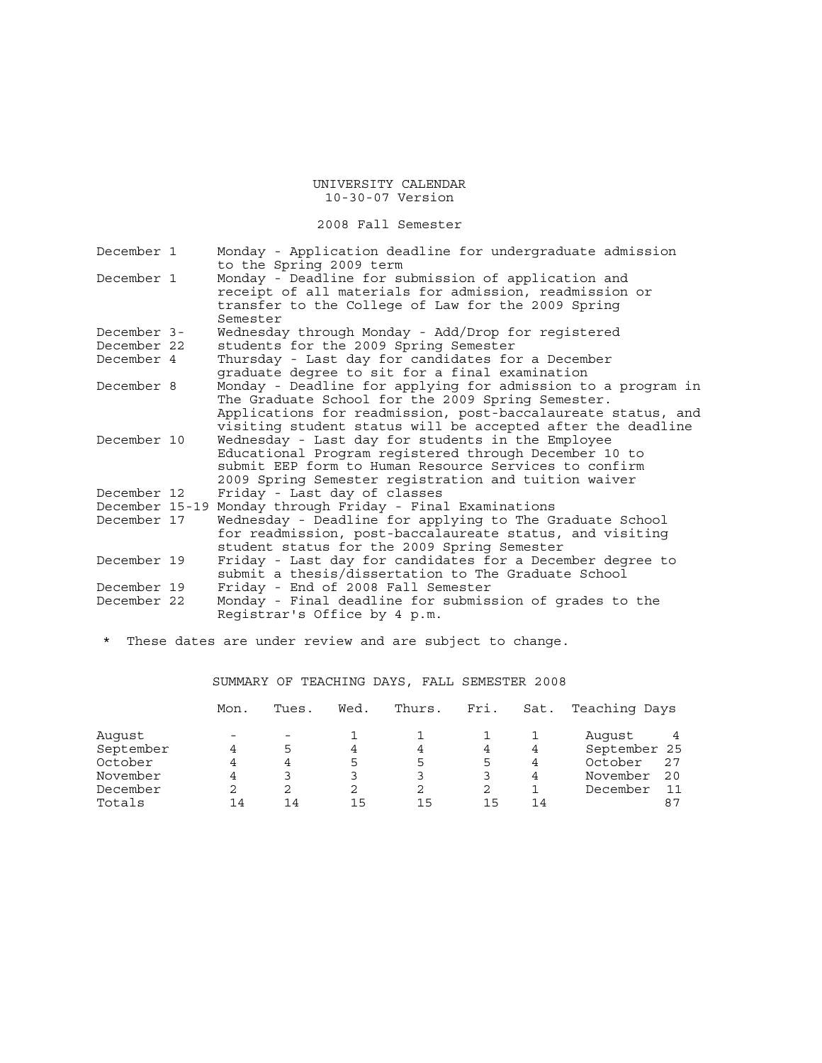2008 Fall Semester

| December 1  | Monday - Application deadline for undergraduate admission<br>to the Spring 2009 term                                                                                                                                                             |
|-------------|--------------------------------------------------------------------------------------------------------------------------------------------------------------------------------------------------------------------------------------------------|
| December 1  | Monday - Deadline for submission of application and<br>receipt of all materials for admission, readmission or<br>transfer to the College of Law for the 2009 Spring<br>Semester                                                                  |
| December 3- | Wednesday through Monday - Add/Drop for registered                                                                                                                                                                                               |
| December 22 | students for the 2009 Spring Semester                                                                                                                                                                                                            |
| December 4  | Thursday - Last day for candidates for a December<br>graduate degree to sit for a final examination                                                                                                                                              |
| December 8  | Monday - Deadline for applying for admission to a program in<br>The Graduate School for the 2009 Spring Semester.<br>Applications for readmission, post-baccalaureate status, and<br>visiting student status will be accepted after the deadline |
| December 10 | Wednesday - Last day for students in the Employee<br>Educational Program registered through December 10 to<br>submit EEP form to Human Resource Services to confirm<br>2009 Spring Semester registration and tuition waiver                      |
| December 12 | Friday - Last day of classes                                                                                                                                                                                                                     |
|             | December 15-19 Monday through Friday - Final Examinations                                                                                                                                                                                        |
| December 17 | Wednesday - Deadline for applying to The Graduate School<br>for readmission, post-baccalaureate status, and visiting<br>student status for the 2009 Spring Semester                                                                              |
| December 19 | Friday - Last day for candidates for a December degree to<br>submit a thesis/dissertation to The Graduate School                                                                                                                                 |
| December 19 | Friday - End of 2008 Fall Semester                                                                                                                                                                                                               |
| December 22 | Monday - Final deadline for submission of grades to the<br>Registrar's Office by 4 p.m.                                                                                                                                                          |

\* These dates are under review and are subject to change.

SUMMARY OF TEACHING DAYS, FALL SEMESTER 2008

|           | Mon. | Tues. | Wed. | Thurs. | Fri. | Sat. | Teaching Days |    |
|-----------|------|-------|------|--------|------|------|---------------|----|
| Auqust    |      |       |      |        |      |      | Auqust        |    |
| September |      | 5     | 4    | 4      |      | 4    | September 25  |    |
| October   |      | 4     | 5    | 5      | 5    | 4    | October       | 27 |
| November  |      |       |      |        |      | 4    | November      | 20 |
| December  |      | 2     | 2    |        |      |      | December      |    |
| Totals    | 14   | 14    | 15   | 15     | 15   | 14   |               | 87 |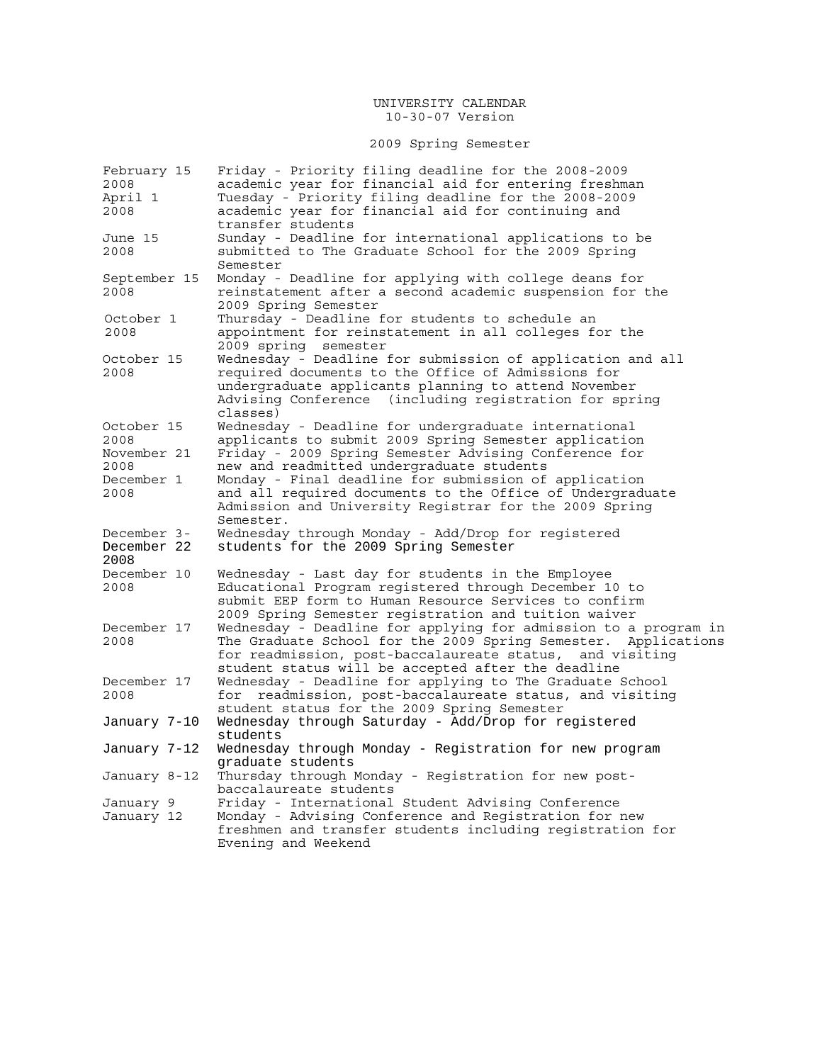# 2009 Spring Semester

| February 15  | Friday - Priority filing deadline for the 2008-2009                          |
|--------------|------------------------------------------------------------------------------|
| 2008         | academic year for financial aid for entering freshman                        |
| April 1      | Tuesday - Priority filing deadline for the 2008-2009                         |
| 2008         | academic year for financial aid for continuing and                           |
|              | transfer students                                                            |
| June 15      | Sunday - Deadline for international applications to be                       |
| 2008         | submitted to The Graduate School for the 2009 Spring                         |
|              | Semester                                                                     |
| September 15 | Monday - Deadline for applying with college deans for                        |
| 2008         | reinstatement after a second academic suspension for the                     |
|              | 2009 Spring Semester                                                         |
| October 1    | Thursday - Deadline for students to schedule an                              |
| 2008         | appointment for reinstatement in all colleges for the                        |
|              | 2009 spring semester                                                         |
| October 15   | Wednesday - Deadline for submission of application and all                   |
| 2008         | required documents to the Office of Admissions for                           |
|              | undergraduate applicants planning to attend November                         |
|              | Advising Conference (including registration for spring                       |
|              | classes)                                                                     |
| October 15   | Wednesday - Deadline for undergraduate international                         |
| 2008         | applicants to submit 2009 Spring Semester application                        |
| November 21  | Friday - 2009 Spring Semester Advising Conference for                        |
| 2008         | new and readmitted undergraduate students                                    |
| December 1   | Monday - Final deadline for submission of application                        |
| 2008         | and all required documents to the Office of Undergraduate                    |
|              | Admission and University Registrar for the 2009 Spring                       |
|              | Semester.                                                                    |
| December 3-  | Wednesday through Monday - Add/Drop for registered                           |
| December 22  | students for the 2009 Spring Semester                                        |
| 2008         |                                                                              |
| December 10  | Wednesday - Last day for students in the Employee                            |
| 2008         | Educational Program registered through December 10 to                        |
|              | submit EEP form to Human Resource Services to confirm                        |
|              | 2009 Spring Semester registration and tuition waiver                         |
| December 17  | Wednesday - Deadline for applying for admission to a program in              |
| 2008         | The Graduate School for the 2009 Spring Semester. Applications               |
|              | for readmission, post-baccalaureate status,<br>and visiting                  |
|              | student status will be accepted after the deadline                           |
| December 17  | Wednesday - Deadline for applying to The Graduate School                     |
| 2008         | readmission, post-baccalaureate status, and visiting<br>for                  |
|              | student status for the 2009 Spring Semester                                  |
|              | Wednesday through Saturday - Add/Drop for registered                         |
| January 7–10 | students                                                                     |
|              |                                                                              |
| January 7-12 | Wednesday through Monday - Registration for new program                      |
|              | graduate students                                                            |
| January 8-12 | Thursday through Monday - Registration for new post-                         |
|              | baccalaureate students<br>Friday - International Student Advising Conference |
| January 9    | Monday - Advising Conference and Registration for new                        |
| January 12   | freshmen and transfer students including registration for                    |
|              |                                                                              |
|              | Evening and Weekend                                                          |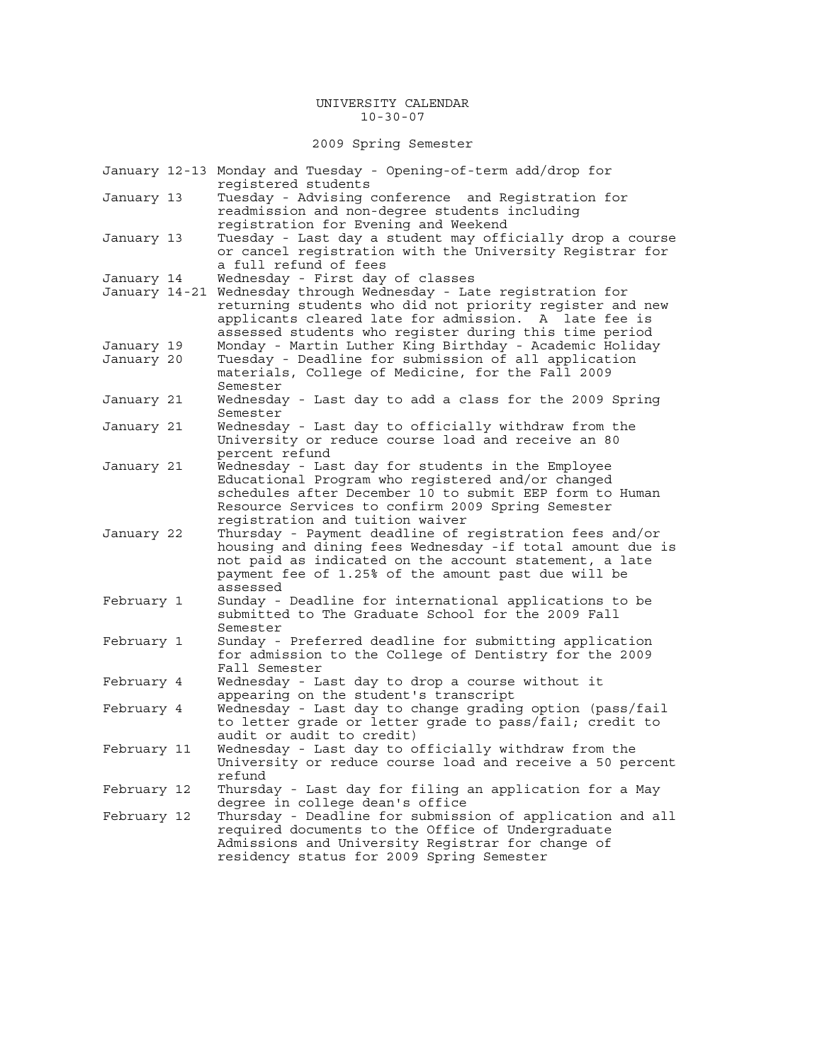#### UNIVERSITY CALENDAR 10-30-07

2009 Spring Semester

|                          | January 12-13 Monday and Tuesday - Opening-of-term add/drop for<br>reqistered students                                                                                                                                                                                               |
|--------------------------|--------------------------------------------------------------------------------------------------------------------------------------------------------------------------------------------------------------------------------------------------------------------------------------|
| January 13               | Tuesday - Advising conference and Registration for<br>readmission and non-degree students including<br>registration for Evening and Weekend                                                                                                                                          |
| January 13               | Tuesday - Last day a student may officially drop a course<br>or cancel registration with the University Registrar for<br>a full refund of fees                                                                                                                                       |
| January 14               | Wednesday - First day of classes                                                                                                                                                                                                                                                     |
| January 14-21            | Wednesday through Wednesday - Late registration for<br>returning students who did not priority register and new<br>applicants cleared late for admission. A late fee is<br>assessed students who register during this time period                                                    |
| January 19<br>January 20 | Monday - Martin Luther King Birthday - Academic Holiday<br>Tuesday - Deadline for submission of all application<br>materials, College of Medicine, for the Fall 2009<br>Semester                                                                                                     |
| January 21               | Wednesday - Last day to add a class for the 2009 Spring<br>Semester                                                                                                                                                                                                                  |
| January 21               | Wednesday - Last day to officially withdraw from the<br>University or reduce course load and receive an 80<br>percent refund                                                                                                                                                         |
| January 21               | Wednesday - Last day for students in the Employee<br>Educational Program who registered and/or changed<br>schedules after December 10 to submit EEP form to Human<br>Resource Services to confirm 2009 Spring Semester                                                               |
| January 22               | registration and tuition waiver<br>Thursday - Payment deadline of registration fees and/or<br>housing and dining fees Wednesday -if total amount due is<br>not paid as indicated on the account statement, a late<br>payment fee of 1.25% of the amount past due will be<br>assessed |
| February 1               | Sunday - Deadline for international applications to be<br>submitted to The Graduate School for the 2009 Fall<br>Semester                                                                                                                                                             |
| February 1               | Sunday - Preferred deadline for submitting application<br>for admission to the College of Dentistry for the 2009<br>Fall Semester                                                                                                                                                    |
| February 4               | Wednesday - Last day to drop a course without it<br>appearing on the student's transcript                                                                                                                                                                                            |
| February 4               | Wednesday - Last day to change grading option (pass/fail<br>to letter grade or letter grade to pass/fail; credit to<br>audit or audit to credit)                                                                                                                                     |
| February 11              | Wednesday - Last day to officially withdraw from the<br>University or reduce course load and receive a 50 percent<br>refund                                                                                                                                                          |
| February 12              | Thursday - Last day for filing an application for a May<br>degree in college dean's office                                                                                                                                                                                           |
| February 12              | Thursday - Deadline for submission of application and all<br>required documents to the Office of Undergraduate<br>Admissions and University Registrar for change of<br>residency status for 2009 Spring Semester                                                                     |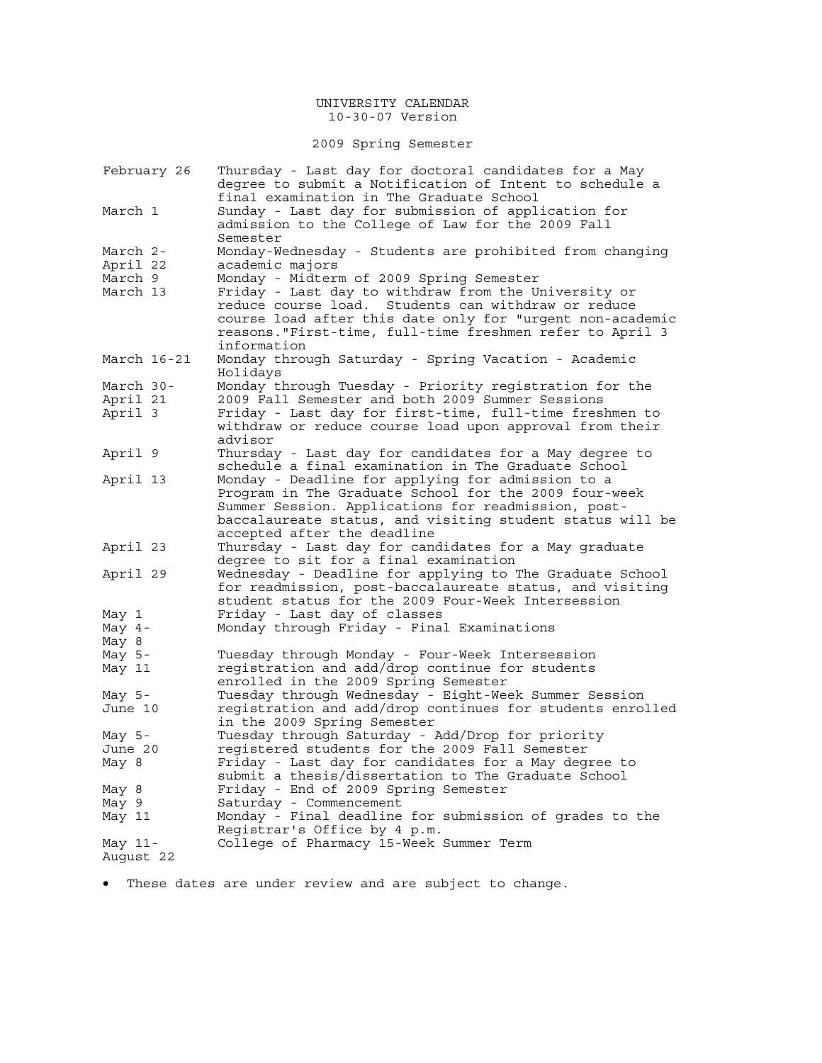2009 Spring Semester

| February 26     | Thursday - Last day for doctoral candidates for a May<br>degree to submit a Notification of Intent to schedule a<br>final examination in The Graduate School                                                                   |
|-----------------|--------------------------------------------------------------------------------------------------------------------------------------------------------------------------------------------------------------------------------|
| March 1         | Sunday - Last day for submission of application for<br>admission to the College of Law for the 2009 Fall<br>Semester                                                                                                           |
| March 2-        | Monday-Wednesday - Students are prohibited from changing                                                                                                                                                                       |
| April 22        | academic majors                                                                                                                                                                                                                |
| March 9         | Monday - Midterm of 2009 Spring Semester                                                                                                                                                                                       |
|                 |                                                                                                                                                                                                                                |
| March 13        | Friday - Last day to withdraw from the University or<br>reduce course load. Students can withdraw or reduce<br>course load after this date only for "urgent non-academic                                                       |
|                 | reasons. "First-time, full-time freshmen refer to April 3<br>information                                                                                                                                                       |
| March 16-21     | Monday through Saturday - Spring Vacation - Academic<br>Holidays                                                                                                                                                               |
| March 30-       | Monday through Tuesday - Priority registration for the                                                                                                                                                                         |
| April 21        | 2009 Fall Semester and both 2009 Summer Sessions                                                                                                                                                                               |
| April 3         | Friday - Last day for first-time, full-time freshmen to<br>withdraw or reduce course load upon approval from their<br>advisor                                                                                                  |
| April 9         | Thursday - Last day for candidates for a May degree to<br>schedule a final examination in The Graduate School                                                                                                                  |
| April 13        | Monday - Deadline for applying for admission to a<br>Program in The Graduate School for the 2009 four-week<br>Summer Session. Applications for readmission, post-<br>baccalaureate status, and visiting student status will be |
| April 23        | accepted after the deadline<br>Thursday - Last day for candidates for a May graduate<br>degree to sit for a final examination                                                                                                  |
| April 29        | Wednesday - Deadline for applying to The Graduate School<br>for readmission, post-baccalaureate status, and visiting<br>student status for the 2009 Four-Week Intersession                                                     |
| May 1           | Friday - Last day of classes                                                                                                                                                                                                   |
| May 4-<br>May 8 | Monday through Friday - Final Examinations                                                                                                                                                                                     |
| May 5-          | Tuesday through Monday - Four-Week Intersession                                                                                                                                                                                |
| May 11          | registration and add/drop continue for students<br>enrolled in the 2009 Spring Semester                                                                                                                                        |
| May $5-$        | Tuesday through Wednesday - Eight-Week Summer Session                                                                                                                                                                          |
| June 10         | registration and add/drop continues for students enrolled<br>in the 2009 Spring Semester                                                                                                                                       |
| May $5-$        | Tuesday through Saturday - Add/Drop for priority                                                                                                                                                                               |
| June 20         | registered students for the 2009 Fall Semester                                                                                                                                                                                 |
| May 8           | Friday - Last day for candidates for a May degree to<br>submit a thesis/dissertation to The Graduate School                                                                                                                    |
| May 8           | Friday - End of 2009 Spring Semester                                                                                                                                                                                           |
| May 9           | Saturday - Commencement                                                                                                                                                                                                        |
| May 11          | Monday - Final deadline for submission of grades to the<br>Registrar's Office by 4 p.m.                                                                                                                                        |
| May 11-         | College of Pharmacy 15-Week Summer Term                                                                                                                                                                                        |
| August 22       |                                                                                                                                                                                                                                |

• These dates are under review and are subject to change.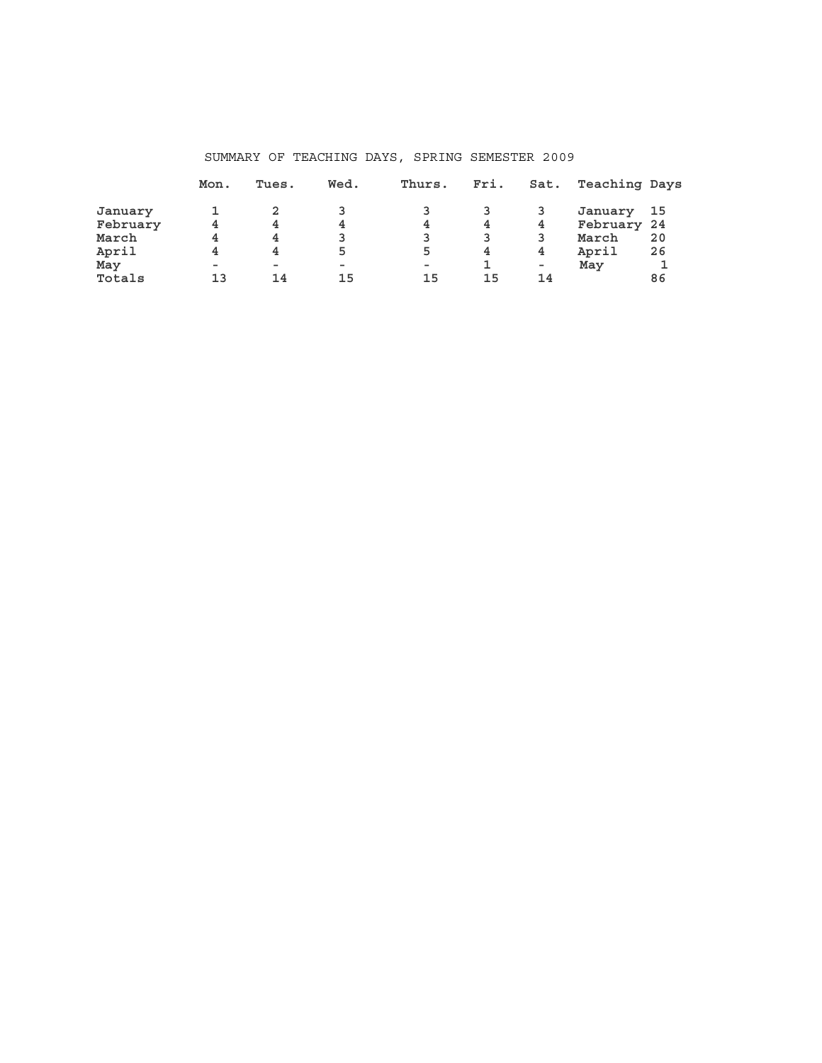|          | Mon.   | Tues.  | Wed.   | Thurs. | Fri. | Sat. | Teaching Days |      |
|----------|--------|--------|--------|--------|------|------|---------------|------|
| January  |        |        |        |        |      |      | January       | - 15 |
| February | 4      | 4      | 4      | 4      | 4    | 4    | February 24   |      |
| March    | 4      | 4      |        |        |      | 3    | March         | 20   |
| April    | 4      | 4      | 5      | 5      | 4    | 4    | April         | 26   |
| May      | $\sim$ | $\sim$ | $\sim$ | $\sim$ |      | ۰    | May           | 1    |
| Totals   | 1 3    | 14     | 15     | 15     | 15   | 14   |               | 86   |

## SUMMARY OF TEACHING DAYS, SPRING SEMESTER 2009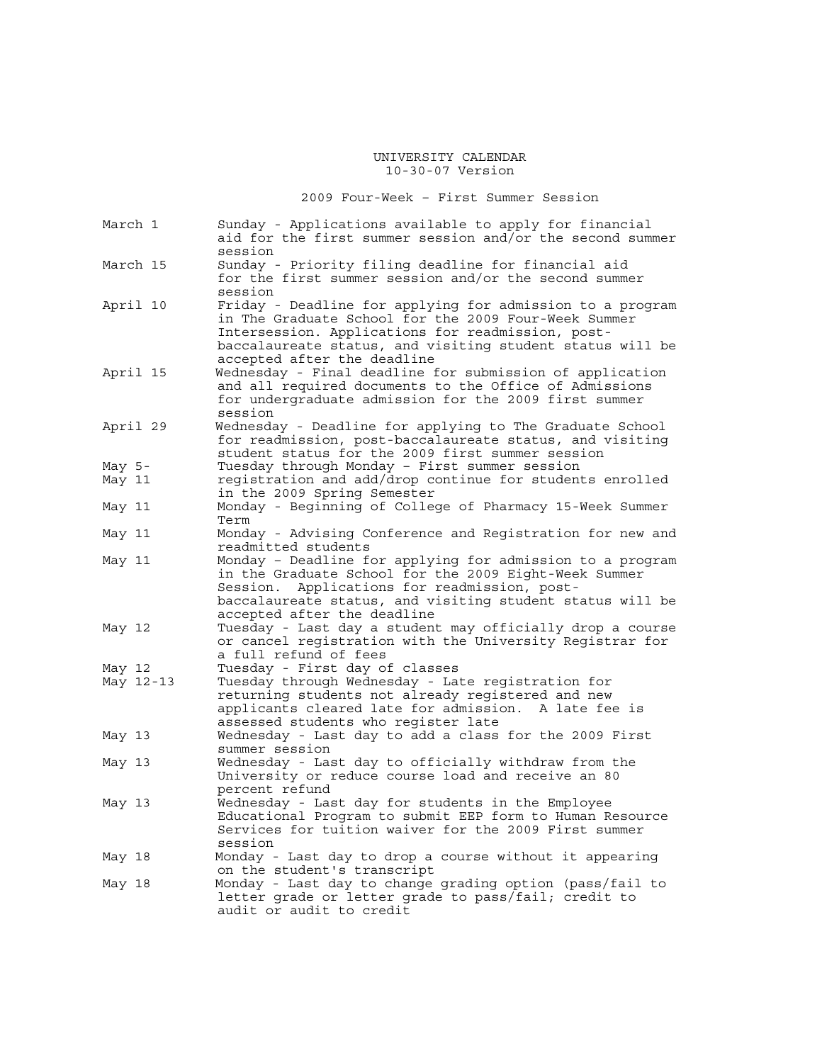2009 Four-Week – First Summer Session

| March 1   | Sunday - Applications available to apply for financial<br>aid for the first summer session and/or the second summer<br>session                                                                                                                                     |
|-----------|--------------------------------------------------------------------------------------------------------------------------------------------------------------------------------------------------------------------------------------------------------------------|
| March 15  | Sunday - Priority filing deadline for financial aid<br>for the first summer session and/or the second summer<br>session                                                                                                                                            |
| April 10  | Friday - Deadline for applying for admission to a program<br>in The Graduate School for the 2009 Four-Week Summer<br>Intersession. Applications for readmission, post-<br>baccalaureate status, and visiting student status will be<br>accepted after the deadline |
| April 15  | Wednesday - Final deadline for submission of application<br>and all required documents to the Office of Admissions<br>for undergraduate admission for the 2009 first summer<br>session                                                                             |
| April 29  | Wednesday - Deadline for applying to The Graduate School<br>for readmission, post-baccalaureate status, and visiting<br>student status for the 2009 first summer session                                                                                           |
| May 5-    | Tuesday through Monday - First summer session                                                                                                                                                                                                                      |
| May 11    | registration and add/drop continue for students enrolled                                                                                                                                                                                                           |
|           | in the 2009 Spring Semester                                                                                                                                                                                                                                        |
| May 11    | Monday - Beginning of College of Pharmacy 15-Week Summer<br>Term                                                                                                                                                                                                   |
| May 11    | Monday - Advising Conference and Registration for new and<br>readmitted students                                                                                                                                                                                   |
| May 11    | Monday - Deadline for applying for admission to a program<br>in the Graduate School for the 2009 Eight-Week Summer<br>Applications for readmission, post-<br>Session.<br>baccalaureate status, and visiting student status will be<br>accepted after the deadline  |
| May 12    | Tuesday - Last day a student may officially drop a course<br>or cancel registration with the University Registrar for<br>a full refund of fees                                                                                                                     |
| May 12    | Tuesday - First day of classes                                                                                                                                                                                                                                     |
| May 12-13 | Tuesday through Wednesday - Late registration for                                                                                                                                                                                                                  |
|           | returning students not already registered and new<br>applicants cleared late for admission. A late fee is<br>assessed students who register late                                                                                                                   |
| May 13    | Wednesday - Last day to add a class for the 2009 First<br>summer session                                                                                                                                                                                           |
| May 13    | Wednesday - Last day to officially withdraw from the<br>University or reduce course load and receive an 80<br>percent refund                                                                                                                                       |
| May 13    | Wednesday - Last day for students in the Employee<br>Educational Program to submit EEP form to Human Resource<br>Services for tuition waiver for the 2009 First summer<br>session                                                                                  |
| May 18    | Monday - Last day to drop a course without it appearing<br>on the student's transcript                                                                                                                                                                             |
| May 18    | Monday - Last day to change grading option (pass/fail to<br>letter grade or letter grade to pass/fail; credit to<br>audit or audit to credit                                                                                                                       |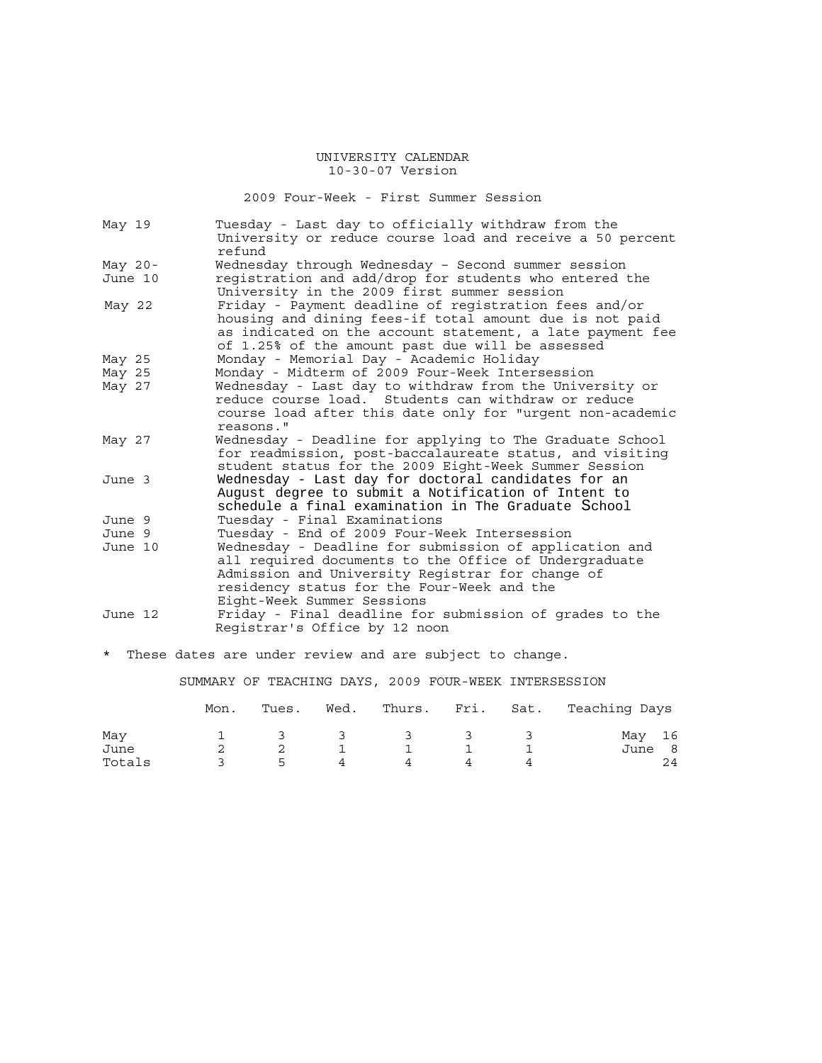2009 Four-Week - First Summer Session

| May 19    | Tuesday - Last day to officially withdraw from the<br>University or reduce course load and receive a 50 percent<br>refund                                                                                                                       |
|-----------|-------------------------------------------------------------------------------------------------------------------------------------------------------------------------------------------------------------------------------------------------|
| May $20-$ | Wednesday through Wednesday - Second summer session                                                                                                                                                                                             |
| June 10   | registration and add/drop for students who entered the<br>University in the 2009 first summer session                                                                                                                                           |
| May 22    | Friday - Payment deadline of registration fees and/or<br>housing and dining fees-if total amount due is not paid<br>as indicated on the account statement, a late payment fee<br>of 1.25% of the amount past due will be assessed               |
| May 25    | Monday - Memorial Day - Academic Holiday                                                                                                                                                                                                        |
| May 25    | Monday - Midterm of 2009 Four-Week Intersession                                                                                                                                                                                                 |
| May 27    | Wednesday - Last day to withdraw from the University or<br>reduce course load. Students can withdraw or reduce<br>course load after this date only for "urgent non-academic<br>reasons."                                                        |
| May 27    | Wednesday - Deadline for applying to The Graduate School<br>for readmission, post-baccalaureate status, and visiting<br>student status for the 2009 Eight-Week Summer Session                                                                   |
| June 3    | Wednesday - Last day for doctoral candidates for an<br>August degree to submit a Notification of Intent to<br>schedule a final examination in The Graduate School                                                                               |
| June 9    | Tuesday - Final Examinations                                                                                                                                                                                                                    |
| June 9    | Tuesday - End of 2009 Four-Week Intersession                                                                                                                                                                                                    |
| June 10   | Wednesday - Deadline for submission of application and<br>all required documents to the Office of Undergraduate<br>Admission and University Registrar for change of<br>residency status for the Four-Week and the<br>Eight-Week Summer Sessions |
| June 12   | Friday - Final deadline for submission of grades to the<br>Registrar's Office by 12 noon                                                                                                                                                        |
| $\star$   | These dates are under review and are subject to change.                                                                                                                                                                                         |

SUMMARY OF TEACHING DAYS, 2009 FOUR-WEEK INTERSESSION

|        | Mon. | Tues.         | Wed.                    |                |               |               | Thurs. Fri. Sat. Teaching Days |
|--------|------|---------------|-------------------------|----------------|---------------|---------------|--------------------------------|
| May    |      | $\mathcal{R}$ | $\overline{\mathbf{3}}$ | $\overline{3}$ | $\mathcal{L}$ | $\sim$ $\sim$ | May 16                         |
| June   |      |               |                         |                |               |               | June<br>8                      |
| Totals |      | ь.            |                         |                |               |               | 24                             |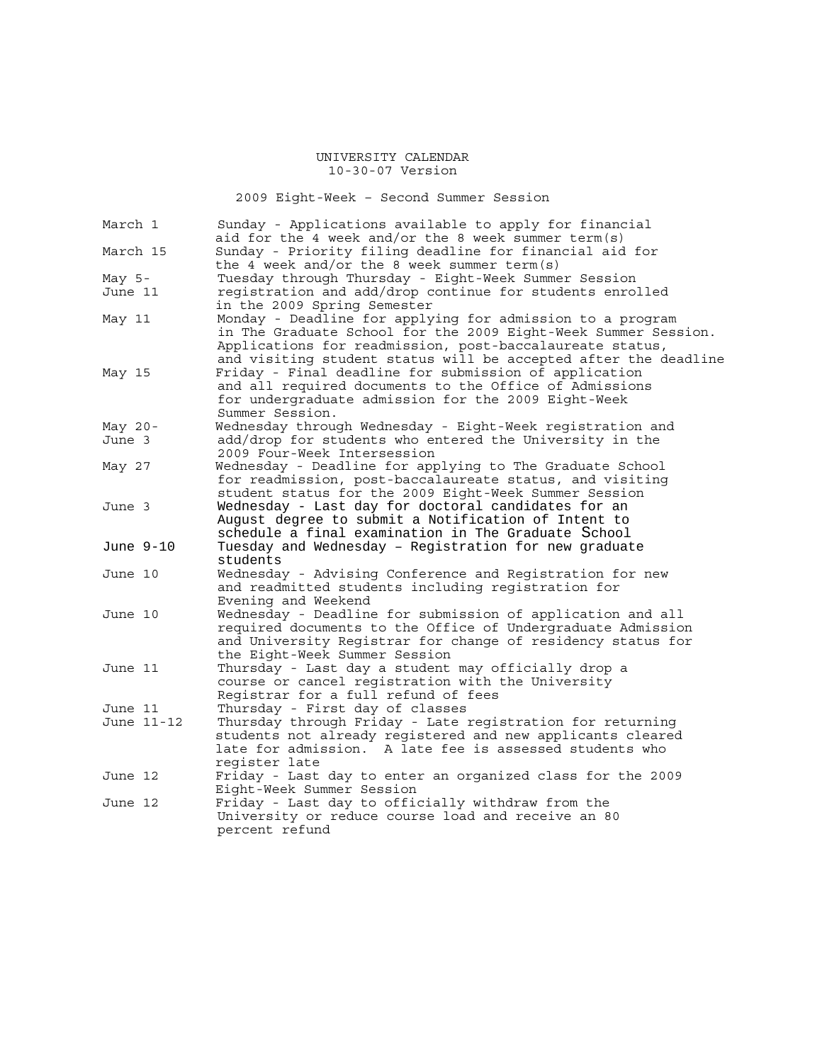2009 Eight-Week – Second Summer Session

| March 1   |            | Sunday - Applications available to apply for financial<br>aid for the 4 week and/or the 8 week summer term(s)                                                                                                                                              |
|-----------|------------|------------------------------------------------------------------------------------------------------------------------------------------------------------------------------------------------------------------------------------------------------------|
|           |            | Sunday - Priority filing deadline for financial aid for                                                                                                                                                                                                    |
| March 15  |            |                                                                                                                                                                                                                                                            |
|           |            | the 4 week and/or the 8 week summer term(s)                                                                                                                                                                                                                |
| May $5-$  |            | Tuesday through Thursday - Eight-Week Summer Session                                                                                                                                                                                                       |
| June 11   |            | registration and add/drop continue for students enrolled                                                                                                                                                                                                   |
|           |            | in the 2009 Spring Semester                                                                                                                                                                                                                                |
| May 11    |            | Monday - Deadline for applying for admission to a program<br>in The Graduate School for the 2009 Eight-Week Summer Session.<br>Applications for readmission, post-baccalaureate status,<br>and visiting student status will be accepted after the deadline |
| May 15    |            | Friday - Final deadline for submission of application<br>and all required documents to the Office of Admissions<br>for undergraduate admission for the 2009 Eight-Week<br>Summer Session.                                                                  |
| May 20-   |            | Wednesday through Wednesday - Eight-Week registration and                                                                                                                                                                                                  |
| June 3    |            | add/drop for students who entered the University in the<br>2009 Four-Week Intersession                                                                                                                                                                     |
| May 27    |            | Wednesday - Deadline for applying to The Graduate School<br>for readmission, post-baccalaureate status, and visiting<br>student status for the 2009 Eight-Week Summer Session                                                                              |
| June 3    |            | Wednesday - Last day for doctoral candidates for an<br>August degree to submit a Notification of Intent to<br>schedule a final examination in The Graduate School                                                                                          |
| June 9-10 |            | Tuesday and Wednesday - Registration for new graduate<br>students                                                                                                                                                                                          |
| June 10   |            | Wednesday - Advising Conference and Registration for new<br>and readmitted students including registration for<br>Evening and Weekend                                                                                                                      |
| June 10   |            | Wednesday - Deadline for submission of application and all<br>required documents to the Office of Undergraduate Admission<br>and University Registrar for change of residency status for<br>the Eight-Week Summer Session                                  |
| June 11   |            | Thursday - Last day a student may officially drop a<br>course or cancel registration with the University<br>Registrar for a full refund of fees                                                                                                            |
| June 11   |            | Thursday - First day of classes                                                                                                                                                                                                                            |
|           | June 11-12 | Thursday through Friday - Late registration for returning<br>students not already registered and new applicants cleared<br>late for admission. A late fee is assessed students who<br>register late                                                        |
| June 12   |            | Friday - Last day to enter an organized class for the 2009<br>Eight-Week Summer Session                                                                                                                                                                    |
| June 12   |            | Friday - Last day to officially withdraw from the                                                                                                                                                                                                          |
|           |            | University or reduce course load and receive an 80<br>percent refund                                                                                                                                                                                       |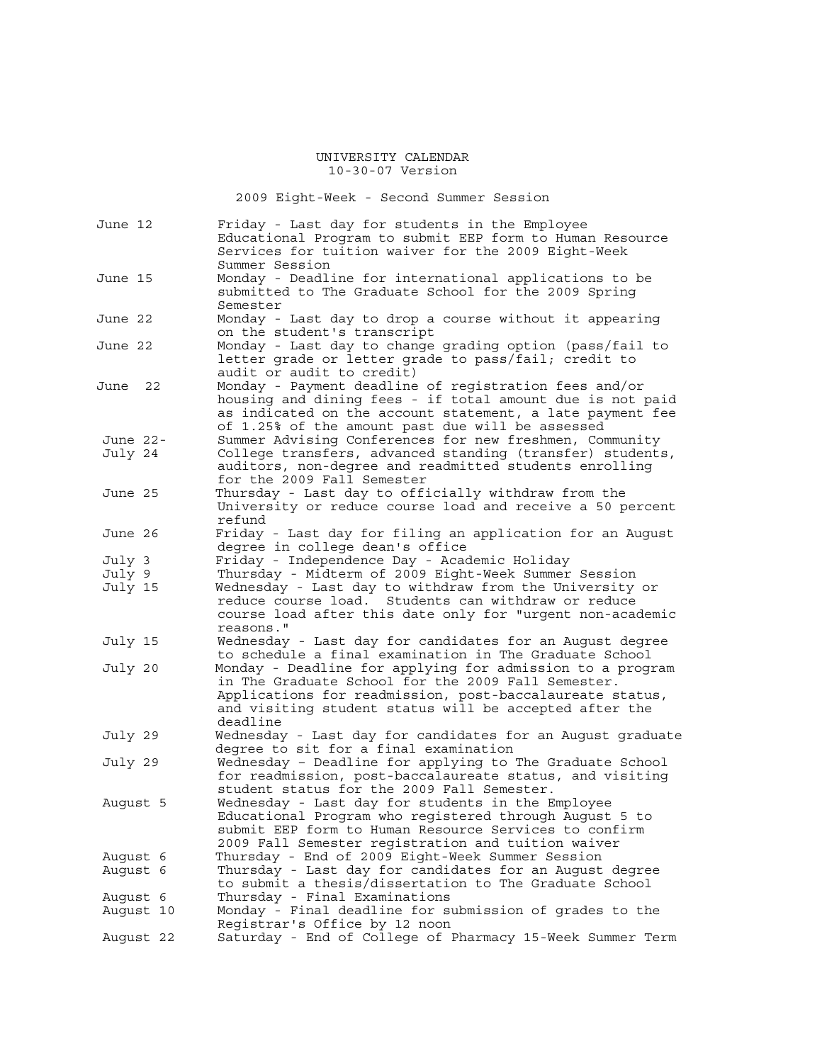2009 Eight-Week - Second Summer Session

| June 12   | Friday - Last day for students in the Employee<br>Educational Program to submit EEP form to Human Resource<br>Services for tuition waiver for the 2009 Eight-Week                                                                                 |
|-----------|---------------------------------------------------------------------------------------------------------------------------------------------------------------------------------------------------------------------------------------------------|
| June 15   | Summer Session<br>Monday - Deadline for international applications to be<br>submitted to The Graduate School for the 2009 Spring<br>Semester                                                                                                      |
| June 22   | Monday - Last day to drop a course without it appearing<br>on the student's transcript                                                                                                                                                            |
| June 22   | Monday - Last day to change grading option (pass/fail to<br>letter grade or letter grade to pass/fail; credit to<br>audit or audit to credit)                                                                                                     |
| June 22   | Monday - Payment deadline of registration fees and/or<br>housing and dining fees - if total amount due is not paid<br>as indicated on the account statement, a late payment fee<br>of 1.25% of the amount past due will be assessed               |
| June 22-  | Summer Advising Conferences for new freshmen, Community                                                                                                                                                                                           |
| July 24   | College transfers, advanced standing (transfer) students,                                                                                                                                                                                         |
|           | auditors, non-degree and readmitted students enrolling<br>for the 2009 Fall Semester                                                                                                                                                              |
|           |                                                                                                                                                                                                                                                   |
| June 25   | Thursday - Last day to officially withdraw from the<br>University or reduce course load and receive a 50 percent<br>refund                                                                                                                        |
| June 26   | Friday - Last day for filing an application for an August                                                                                                                                                                                         |
|           | degree in college dean's office                                                                                                                                                                                                                   |
| July 3    | Friday - Independence Day - Academic Holiday                                                                                                                                                                                                      |
| July 9    | Thursday - Midterm of 2009 Eight-Week Summer Session                                                                                                                                                                                              |
| July 15   | Wednesday - Last day to withdraw from the University or<br>reduce course load. Students can withdraw or reduce<br>course load after this date only for "urgent non-academic<br>reasons."                                                          |
| July 15   | Wednesday - Last day for candidates for an August degree<br>to schedule a final examination in The Graduate School                                                                                                                                |
| July 20   | Monday - Deadline for applying for admission to a program<br>in The Graduate School for the 2009 Fall Semester.<br>Applications for readmission, post-baccalaureate status,<br>and visiting student status will be accepted after the<br>deadline |
| July 29   | Wednesday - Last day for candidates for an August graduate<br>degree to sit for a final examination                                                                                                                                               |
| July 29   | Wednesday - Deadline for applying to The Graduate School<br>for readmission, post-baccalaureate status, and visiting<br>student status for the 2009 Fall Semester.                                                                                |
| August 5  | Wednesday - Last day for students in the Employee<br>Educational Program who registered through August 5 to<br>submit EEP form to Human Resource Services to confirm<br>2009 Fall Semester registration and tuition waiver                        |
| August 6  | Thursday - End of 2009 Eight-Week Summer Session                                                                                                                                                                                                  |
| August 6  | Thursday - Last day for candidates for an August degree<br>to submit a thesis/dissertation to The Graduate School                                                                                                                                 |
| August 6  | Thursday - Final Examinations                                                                                                                                                                                                                     |
| August 10 | Monday - Final deadline for submission of grades to the                                                                                                                                                                                           |
|           | Registrar's Office by 12 noon                                                                                                                                                                                                                     |
| August 22 | Saturday - End of College of Pharmacy 15-Week Summer Term                                                                                                                                                                                         |
|           |                                                                                                                                                                                                                                                   |